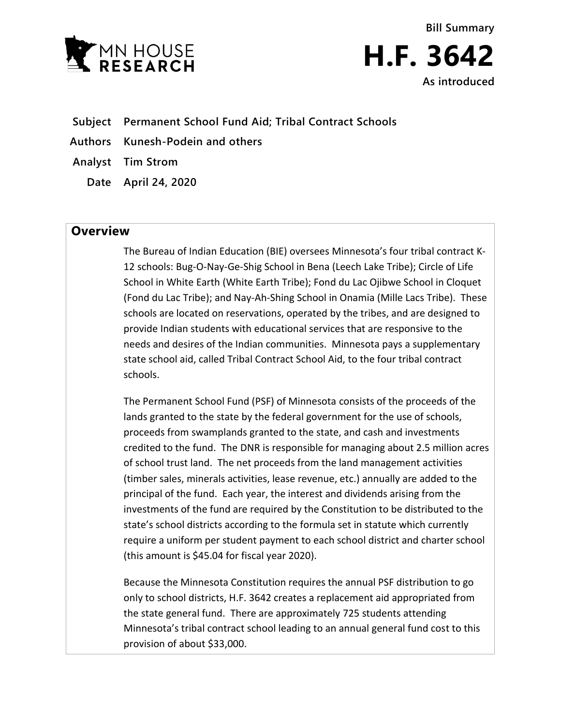

**Bill Summary H.F. 3642 As introduced**

- **Subject Permanent School Fund Aid; Tribal Contract Schools**
- **Authors Kunesh-Podein and others**
- **Analyst Tim Strom**
	- **Date April 24, 2020**

## **Overview**

The Bureau of Indian Education (BIE) oversees Minnesota's four tribal contract K-12 schools: Bug-O-Nay-Ge-Shig School in Bena (Leech Lake Tribe); Circle of Life School in White Earth (White Earth Tribe); Fond du Lac Ojibwe School in Cloquet (Fond du Lac Tribe); and Nay-Ah-Shing School in Onamia (Mille Lacs Tribe). These schools are located on reservations, operated by the tribes, and are designed to provide Indian students with educational services that are responsive to the needs and desires of the Indian communities. Minnesota pays a supplementary state school aid, called Tribal Contract School Aid, to the four tribal contract schools.

The Permanent School Fund (PSF) of Minnesota consists of the proceeds of the lands granted to the state by the federal government for the use of schools, proceeds from swamplands granted to the state, and cash and investments credited to the fund. The DNR is responsible for managing about 2.5 million acres of school trust land. The net proceeds from the land management activities (timber sales, minerals activities, lease revenue, etc.) annually are added to the principal of the fund. Each year, the interest and dividends arising from the investments of the fund are required by the Constitution to be distributed to the state's school districts according to the formula set in statute which currently require a uniform per student payment to each school district and charter school (this amount is \$45.04 for fiscal year 2020).

Because the Minnesota Constitution requires the annual PSF distribution to go only to school districts, H.F. 3642 creates a replacement aid appropriated from the state general fund. There are approximately 725 students attending Minnesota's tribal contract school leading to an annual general fund cost to this provision of about \$33,000.